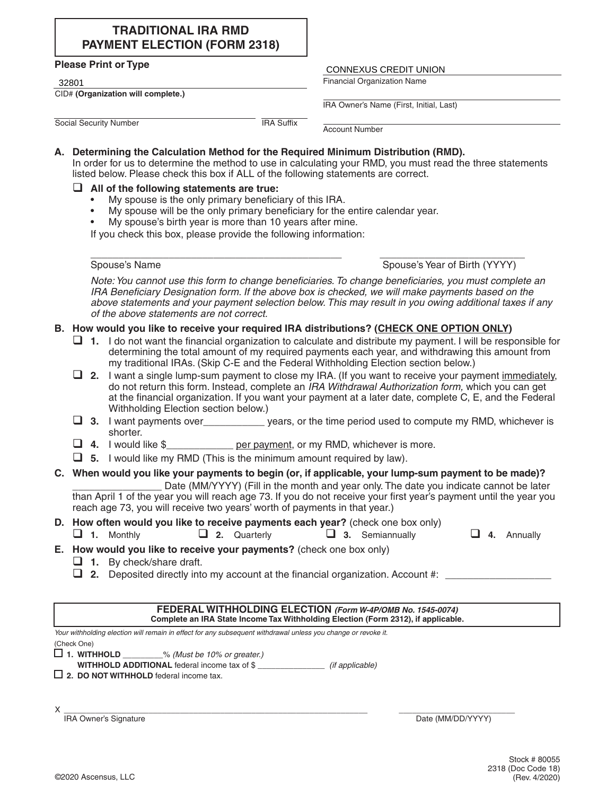# **TRADITIONAL IRA RMD PAYMENT ELECTION (FORM 2318)**

#### **Please Print or Type**

CID# **(Organization will complete.)**

# The Tease Time of Type<br>
32801<br>
Financial Organization Name

IRA Owner's Name (First, Initial, Last)

**Social Security Number IRA Suffix** 

Account Number

### **A. Determining the Calculation Method for the Required Minimum Distribution (RMD).**

In order for us to determine the method to use in calculating your RMD, you must read the three statements listed below. Please check this box if ALL of the following statements are correct.

### **All of the following statements are true:**

- My spouse is the only primary beneficiary of this IRA.
- My spouse will be the only primary beneficiary for the entire calendar year.
- My spouse's birth year is more than 10 years after mine.

If you check this box, please provide the following information:

 $\mathcal{L}_\text{max} = \frac{1}{2} \sum_{i=1}^{n} \frac{1}{2} \sum_{j=1}^{n} \frac{1}{2} \sum_{j=1}^{n} \frac{1}{2} \sum_{j=1}^{n} \frac{1}{2} \sum_{j=1}^{n} \frac{1}{2} \sum_{j=1}^{n} \frac{1}{2} \sum_{j=1}^{n} \frac{1}{2} \sum_{j=1}^{n} \frac{1}{2} \sum_{j=1}^{n} \frac{1}{2} \sum_{j=1}^{n} \frac{1}{2} \sum_{j=1}^{n} \frac{1}{2} \sum_{j=1}^{n} \frac{1$ Spouse's Name Spouse's Year of Birth (YYYY)

*Note: You cannot use this form to change beneficiaries. To change beneficiaries, you must complete an IRA Beneficiary Designation form. If the above box is checked, we will make payments based on the above statements and your payment selection below. This may result in you owing additional taxes if any of the above statements are not correct.*

## **B. How would you like to receive your required IRA distributions? (CHECK ONE OPTION ONLY)**

- **1.** I do not want the financial organization to calculate and distribute my payment. I will be responsible for determining the total amount of my required payments each year, and withdrawing this amount from my traditional IRAs. (Skip C-E and the Federal Withholding Election section below.)
- **2.** I want a single lump-sum payment to close my IRA. (If you want to receive your payment immediately, do not return this form. Instead, complete an *IRA Withdrawal Authorization form,* which you can get at the financial organization. If you want your payment at a later date, complete C, E, and the Federal Withholding Election section below.)
- **3.** I want payments over years, or the time period used to compute my RMD, whichever is shorter.
- **4.** I would like \$\_\_\_\_\_\_\_\_\_\_\_\_ per payment, or my RMD, whichever is more.
- **5.** I would like my RMD (This is the minimum amount required by law).

## **C. When would you like your payments to begin (or, if applicable, your lump-sum payment to be made)?**

Date (MM/YYYY) (Fill in the month and year only. The date you indicate cannot be later than April 1 of the year you will reach age 73. If you do not receive your first year's payment until the year you reach age 73, you will receive two years' worth of payments in that year.)

## **D. How often would you like to receive payments each year?** (check one box only)

 $\Box$  1. Monthly  $\Box$  2. Quarterly  $\Box$  3. Semiannually  $\Box$ 

|  | Annually |
|--|----------|
|--|----------|

- **E. How would you like to receive your payments?** (check one box only)
	- **1.** By check/share draft.
	- **2.** Deposited directly into my account at the financial organization. Account  $\#$ :

#### **FEDERAL WITHHOLDING ELECTION** *(Form W-4P/OMB No. 1545-0074)* **Complete an IRA State Income Tax Withholding Election (Form 2312), if applicable.**

*Your withholding election will remain in effect for any subsequent withdrawal unless you change or revoke it.* (Check One)

- **1. WITHHOLD** \_\_\_\_\_\_\_\_\_% *(Must be 10% or greater.)*
- **WITHHOLD ADDITIONAL** federal income tax of \$ \_\_\_\_\_\_\_\_\_\_\_\_\_\_\_ *(if applicable)*
- **2. DO NOT WITHHOLD** federal income tax.
- ${\sf X}$  , and the contribution of the contribution of the contribution of the contribution of  $\mathcal{X}$